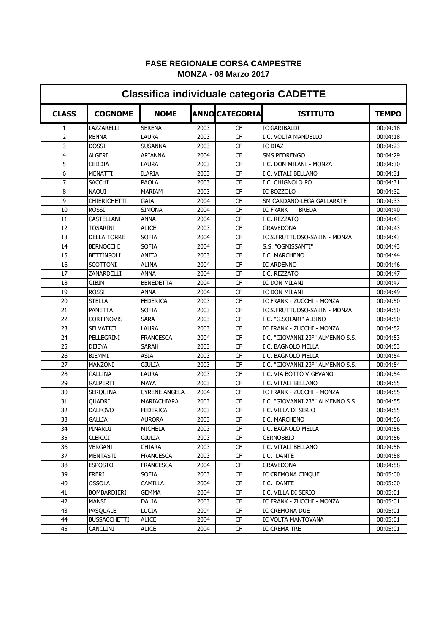## **FASE REGIONALE CORSA CAMPESTRE MONZA - 08 Marzo 2017**

| <b>Classifica individuale categoria CADETTE</b> |                     |                  |      |                      |                                  |              |  |  |
|-------------------------------------------------|---------------------|------------------|------|----------------------|----------------------------------|--------------|--|--|
| <b>CLASS</b>                                    | <b>COGNOME</b>      | <b>NOME</b>      |      | <b>ANNOCATEGORIA</b> | <b>ISTITUTO</b>                  | <b>TEMPO</b> |  |  |
| 1                                               | LAZZARELLI          | <b>SERENA</b>    | 2003 | CF                   | <b>IC GARIBALDI</b>              | 00:04:18     |  |  |
| 2                                               | <b>RENNA</b>        | LAURA            | 2003 | <b>CF</b>            | I.C. VOLTA MANDELLO              | 00:04:18     |  |  |
| 3                                               | <b>DOSSI</b>        | SUSANNA          | 2003 | CF                   | IC DIAZ                          | 00:04:23     |  |  |
| 4                                               | <b>ALGERI</b>       | ARIANNA          | 2004 | CF                   | SMS PEDRENGO                     | 00:04:29     |  |  |
| 5                                               | <b>CEDDIA</b>       | LAURA            | 2003 | CF                   | I.C. DON MILANI - MONZA          | 00:04:30     |  |  |
| 6                                               | MENATTI             | <b>ILARIA</b>    | 2003 | CF                   | I.C. VITALI BELLANO              | 00:04:31     |  |  |
| 7                                               | <b>SACCHI</b>       | PAOLA            | 2003 | CF                   | I.C. CHIGNOLO PO                 | 00:04:31     |  |  |
| 8                                               | <b>NAOUI</b>        | MARIAM           | 2003 | <b>CF</b>            | IC BOZZOLO                       | 00:04:32     |  |  |
| 9                                               | <b>CHIERICHETTI</b> | GAIA             | 2004 | <b>CF</b>            | SM CARDANO-LEGA GALLARATE        | 00:04:33     |  |  |
| 10                                              | <b>ROSSI</b>        | <b>SIMONA</b>    | 2004 | <b>CF</b>            | <b>BREDA</b><br><b>IC FRANK</b>  | 00:04:40     |  |  |
| 11                                              | CASTELLANI          | ANNA             | 2004 | <b>CF</b>            | I.C. REZZATO                     | 00:04:43     |  |  |
| 12                                              | TOSARINI            | <b>ALICE</b>     | 2003 | <b>CF</b>            | <b>GRAVEDONA</b>                 | 00:04:43     |  |  |
| 13                                              | <b>DELLA TORRE</b>  | <b>SOFIA</b>     | 2004 | <b>CF</b>            | IC S.FRUTTUOSO-SABIN - MONZA     | 00:04:43     |  |  |
| 14                                              | <b>BERNOCCHI</b>    | <b>SOFIA</b>     | 2004 | <b>CF</b>            | S.S. "OGNISSANTI"                | 00:04:43     |  |  |
| 15                                              | <b>BETTINSOLI</b>   | ANITA            | 2003 | <b>CF</b>            | I.C. MARCHENO                    | 00:04:44     |  |  |
| 16                                              | SCOTTONI            | ALINA            | 2004 | CF                   | <b>IC ARDENNO</b>                | 00:04:46     |  |  |
| 17                                              | ZANARDELLI          | ANNA             | 2004 | CF                   | I.C. REZZATO                     | 00:04:47     |  |  |
| 18                                              | GIBIN               | BENEDETTA        | 2004 | <b>CF</b>            | IC DON MILANI                    | 00:04:47     |  |  |
| 19                                              | <b>ROSSI</b>        | <b>ANNA</b>      | 2004 | <b>CF</b>            | IC DON MILANI                    | 00:04:49     |  |  |
| 20                                              | <b>STELLA</b>       | FEDERICA         | 2003 | CF                   | IC FRANK - ZUCCHI - MONZA        | 00:04:50     |  |  |
| 21                                              | <b>PANETTA</b>      | SOFIA            | 2003 | CF                   | IC S.FRUTTUOSO-SABIN - MONZA     | 00:04:50     |  |  |
| 22                                              | <b>CORTINOVIS</b>   | Sara             | 2003 | CF                   | I.C. "G.SOLARI" ALBINO           | 00:04:50     |  |  |
| 23                                              | SELVATICI           | LAURA            | 2003 | CF                   | IC FRANK - ZUCCHI - MONZA        | 00:04:52     |  |  |
| 24                                              | PELLEGRINI          | <b>FRANCESCA</b> | 2004 | CF                   | I.C. "GIOVANNI 23°" ALMENNO S.S. | 00:04:53     |  |  |
| 25                                              | <b>DIJEYA</b>       | <b>SARAH</b>     | 2003 | CF                   | I.C. BAGNOLO MELLA               | 00:04:53     |  |  |
| 26                                              | <b>BIEMMI</b>       | ASIA             | 2003 | CF                   | I.C. BAGNOLO MELLA               | 00:04:54     |  |  |
| 27                                              | <b>MANZONI</b>      | GIULIA           | 2003 | CF                   | I.C. "GIOVANNI 23°" ALMENNO S.S. | 00:04:54     |  |  |
| 28                                              | GALLINA             | LAURA            | 2003 | CF                   | I.C. VIA BOTTO VIGEVANO          | 00:04:54     |  |  |
| 29                                              | <b>GALPERTI</b>     | MAYA             | 2003 | CF                   | I.C. VITALI BELLANO              | 00:04:55     |  |  |
| 30                                              | <b>SERQUINA</b>     | CYRENE ANGELA    | 2004 | CF                   | IC FRANK - ZUCCHI - MONZA        | 00:04:55     |  |  |
| 31                                              | QUADRI              | MARIACHIARA      | 2003 | CF                   | I.C. "GIOVANNI 23°" ALMENNO S.S. | 00:04:55     |  |  |
| 32                                              | <b>DALFOVO</b>      | FEDERICA         | 2003 | CF                   | I.C. VILLA DI SERIO              | 00:04:55     |  |  |
| 33                                              | <b>GALLIA</b>       | <b>AURORA</b>    | 2003 | <b>CF</b>            | I.C. MARCHENO                    | 00:04:56     |  |  |
| 34                                              | PINARDI             | MICHELA          | 2003 | <b>CF</b>            | I.C. BAGNOLO MELLA               | 00:04:56     |  |  |
| 35                                              | CLERICI             | GIULIA           | 2003 | CF                   | <b>CERNOBBIO</b>                 | 00:04:56     |  |  |
| 36                                              | VERGANI             | CHIARA           | 2003 | <b>CF</b>            | I.C. VITALI BELLANO              | 00:04:56     |  |  |
| 37                                              | MENTASTI            | <b>FRANCESCA</b> | 2003 | CF                   | I.C. DANTE                       | 00:04:58     |  |  |
| 38                                              | <b>ESPOSTO</b>      | <b>FRANCESCA</b> | 2004 | <b>CF</b>            | <b>GRAVEDONA</b>                 | 00:04:58     |  |  |
| 39                                              | <b>FRERI</b>        | <b>SOFIA</b>     | 2003 | <b>CF</b>            | IC CREMONA CINQUE                | 00:05:00     |  |  |
| 40                                              | OSSOLA              | CAMILLA          | 2004 | CF                   | I.C. DANTE                       | 00:05:00     |  |  |
| 41                                              | BOMBARDIERI         | GEMMA            | 2004 | CF                   | I.C. VILLA DI SERIO              | 00:05:01     |  |  |
| 42                                              | MANSI               | DALIA            | 2003 | <b>CF</b>            | IC FRANK - ZUCCHI - MONZA        | 00:05:01     |  |  |
| 43                                              | <b>PASQUALE</b>     | LUCIA            | 2004 | CF                   | IC CREMONA DUE                   | 00:05:01     |  |  |
| 44                                              | <b>BUSSACCHETTI</b> | <b>ALICE</b>     | 2004 | CF                   | IC VOLTA MANTOVANA               | 00:05:01     |  |  |
| 45                                              | CANCLINI            | <b>ALICE</b>     | 2004 | CF                   | IC CREMA TRE                     | 00:05:01     |  |  |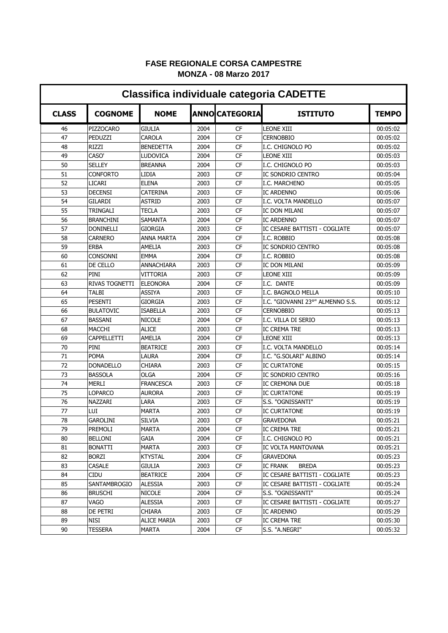## **FASE REGIONALE CORSA CAMPESTRE MONZA - 08 Marzo 2017**

| <b>Classifica individuale categoria CADETTE</b> |                  |                    |      |                      |                                  |              |  |  |
|-------------------------------------------------|------------------|--------------------|------|----------------------|----------------------------------|--------------|--|--|
| <b>CLASS</b>                                    | <b>COGNOME</b>   | <b>NOME</b>        |      | <b>ANNOCATEGORIA</b> | <b>ISTITUTO</b>                  | <b>TEMPO</b> |  |  |
| 46                                              | <b>PIZZOCARO</b> | <b>GIULIA</b>      | 2004 | <b>CF</b>            | <b>LEONE XIII</b>                | 00:05:02     |  |  |
| 47                                              | PEDUZZI          | <b>CAROLA</b>      | 2004 | <b>CF</b>            | <b>CERNOBBIO</b>                 | 00:05:02     |  |  |
| 48                                              | RIZZI            | <b>BENEDETTA</b>   | 2004 | <b>CF</b>            | I.C. CHIGNOLO PO                 | 00:05:02     |  |  |
| 49                                              | CASO'            | LUDOVICA           | 2004 | <b>CF</b>            | LEONE XIII                       | 00:05:03     |  |  |
| 50                                              | <b>SELLEY</b>    | <b>BREANNA</b>     | 2004 | CF                   | I.C. CHIGNOLO PO                 | 00:05:03     |  |  |
| 51                                              | <b>CONFORTO</b>  | LIDIA              | 2003 | CF                   | <b>IC SONDRIO CENTRO</b>         | 00:05:04     |  |  |
| 52                                              | LICARI           | <b>ELENA</b>       | 2003 | CF                   | I.C. MARCHENO                    | 00:05:05     |  |  |
| 53                                              | <b>DECENSI</b>   | <b>CATERINA</b>    | 2003 | CF                   | <b>IC ARDENNO</b>                | 00:05:06     |  |  |
| 54                                              | <b>GILARDI</b>   | <b>ASTRID</b>      | 2003 | CF                   | I.C. VOLTA MANDELLO              | 00:05:07     |  |  |
| 55                                              | TRINGALI         | TECLA              | 2003 | CF                   | IC DON MILANI                    | 00:05:07     |  |  |
| 56                                              | <b>BRANCHINI</b> | SAMANTA            | 2004 | CF                   | <b>IC ARDENNO</b>                | 00:05:07     |  |  |
| 57                                              | <b>DONINELLI</b> | <b>GIORGIA</b>     | 2003 | CF                   | IC CESARE BATTISTI - COGLIATE    | 00:05:07     |  |  |
| 58                                              | <b>CARNERO</b>   | <b>ANNA MARTA</b>  | 2004 | CF                   | I.C. ROBBIO                      | 00:05:08     |  |  |
| 59                                              | <b>ERBA</b>      | AMELIA             | 2003 | CF                   | IC SONDRIO CENTRO                | 00:05:08     |  |  |
| 60                                              | <b>CONSONNI</b>  | <b>EMMA</b>        | 2004 | CF                   | I.C. ROBBIO                      | 00:05:08     |  |  |
| 61                                              | <b>DE CELLO</b>  | ANNACHIARA         | 2003 | CF                   | IC DON MILANI                    | 00:05:09     |  |  |
| 62                                              | PINI             | VITTORIA           | 2003 | CF                   | LEONE XIII                       | 00:05:09     |  |  |
| 63                                              | RIVAS TOGNETTI   | <b>ELEONORA</b>    | 2004 | CF                   | I.C. DANTE                       | 00:05:09     |  |  |
| 64                                              | <b>TALBI</b>     | <b>ASSIYA</b>      | 2003 | CF                   | I.C. BAGNOLO MELLA               | 00:05:10     |  |  |
| 65                                              | <b>PESENTI</b>   | GIORGIA            | 2003 | CF                   | I.C. "GIOVANNI 23°" ALMENNO S.S. | 00:05:12     |  |  |
| 66                                              | <b>BULATOVIC</b> | <b>ISABELLA</b>    | 2003 | CF                   | <b>CERNOBBIO</b>                 | 00:05:13     |  |  |
| 67                                              | <b>BASSANI</b>   | <b>NICOLE</b>      | 2004 | CF                   | I.C. VILLA DI SERIO              | 00:05:13     |  |  |
| 68                                              | MACCHI           | <b>ALICE</b>       | 2003 | CF                   | <b>IC CREMA TRE</b>              | 00:05:13     |  |  |
| 69                                              | CAPPELLETTI      | AMELIA             | 2004 | CF                   | LEONE XIII                       | 00:05:13     |  |  |
| 70                                              | PINI             | <b>BEATRICE</b>    | 2003 | CF                   | I.C. VOLTA MANDELLO              | 00:05:14     |  |  |
| 71                                              | <b>POMA</b>      | LAURA              | 2004 | <b>CF</b>            | I.C. "G.SOLARI" ALBINO           | 00:05:14     |  |  |
| 72                                              | <b>DONADELLO</b> | CHIARA             | 2003 | <b>CF</b>            | <b>IC CURTATONE</b>              | 00:05:15     |  |  |
| 73                                              | <b>BASSOLA</b>   | OLGA               | 2004 | <b>CF</b>            | IC SONDRIO CENTRO                | 00:05:16     |  |  |
| 74                                              | MERLI            | <b>FRANCESCA</b>   | 2003 | CF                   | IC CREMONA DUE                   | 00:05:18     |  |  |
| 75                                              | LOPARCO          | <b>AURORA</b>      | 2003 | CF                   | <b>IC CURTATONE</b>              | 00:05:19     |  |  |
| 76                                              | NAZZARI          | LARA               | 2003 | CF                   | S.S. "OGNISSANTI"                | 00:05:19     |  |  |
| 77                                              | LUI              | MARTA              | 2003 | <b>CF</b>            | <b>IC CURTATONE</b>              | 00:05:19     |  |  |
| 78                                              | GAROLINI         | <b>SILVIA</b>      | 2003 | <b>CF</b>            | <b>GRAVEDONA</b>                 | 00:05:21     |  |  |
| 79                                              | PREMOLI          | <b>MARTA</b>       | 2004 | CF                   | IC CREMA TRE                     | 00:05:21     |  |  |
| 80                                              | <b>BELLONI</b>   | GAIA               | 2004 | CF                   | I.C. CHIGNOLO PO                 | 00:05:21     |  |  |
| 81                                              | <b>BONATTI</b>   | <b>MARTA</b>       | 2003 | CF                   | IC VOLTA MANTOVANA               | 00:05:21     |  |  |
| 82                                              | <b>BORZI</b>     | <b>KTYSTAL</b>     | 2004 | <b>CF</b>            | GRAVEDONA                        | 00:05:23     |  |  |
| 83                                              | CASALE           | <b>GIULIA</b>      | 2003 | CF                   | <b>IC FRANK</b><br><b>BREDA</b>  | 00:05:23     |  |  |
| 84                                              | CIDU             | <b>BEATRICE</b>    | 2004 | CF                   | IC CESARE BATTISTI - COGLIATE    | 00:05:23     |  |  |
| 85                                              | SANTAMBROGIO     | <b>ALESSIA</b>     | 2003 | CF                   | IC CESARE BATTISTI - COGLIATE    | 00:05:24     |  |  |
| 86                                              | <b>BRUSCHI</b>   | <b>NICOLE</b>      | 2004 | CF                   | S.S. "OGNISSANTI"                | 00:05:24     |  |  |
| 87                                              | VAGO             | <b>ALESSIA</b>     | 2003 | CF                   | IC CESARE BATTISTI - COGLIATE    | 00:05:27     |  |  |
| 88                                              | DE PETRI         | CHIARA             | 2003 | CF                   | <b>IC ARDENNO</b>                | 00:05:29     |  |  |
| 89                                              | NISI             | <b>ALICE MARIA</b> | 2003 | CF                   | IC CREMA TRE                     | 00:05:30     |  |  |
| 90                                              | <b>TESSERA</b>   | MARTA              | 2004 | CF                   | S.S. "A.NEGRI"                   | 00:05:32     |  |  |